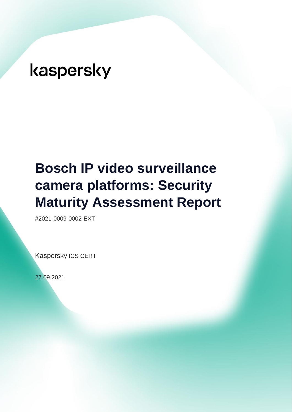# **Bosch IP video surveillance camera platforms: Security Maturity Assessment Report**

#2021-0009-0002-EXT

Kaspersky ICS CERT

27.09.2021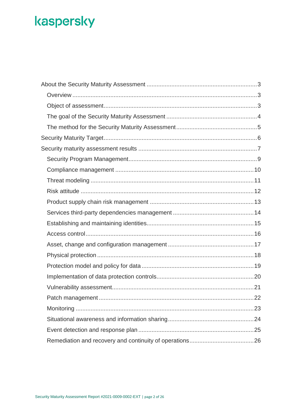| 22 |
|----|
|    |
|    |
|    |
|    |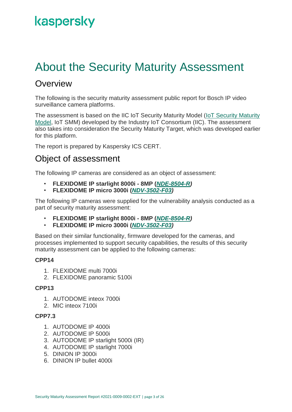### <span id="page-2-0"></span>About the Security Maturity Assessment

#### <span id="page-2-1"></span>**Overview**

The following is the security maturity assessment public report for Bosch IP video surveillance camera platforms.

The assessment is based on the IIC IoT Security Maturity Model [\(IoT Security Maturity](https://www.iiconsortium.org/pdf/SMM_Description_and_Intended_Use_2018-04-09.pdf)  [Model,](https://www.iiconsortium.org/pdf/SMM_Description_and_Intended_Use_2018-04-09.pdf) IoT SMM) developed by the Industry IoT Consortium (IIC). The assessment also takes into consideration the Security Maturity Target, which was developed earlier for this platform.

The report is prepared by Kaspersky ICS CERT.

#### <span id="page-2-2"></span>Object of assessment

The following IP cameras are considered as an object of assessment:

- **FLEXIDOME IP starlight 8000i - 8MP (***[NDE-8504-R\)](https://resources-boschsecurity-cdn.azureedge.net/public/documents/FLEXIDOME_IP_starlig_Data_sheet_enUS_68669614475.pdf)*
- **FLEXIDOME IP micro 3000i (***[NDV-3502-F03\)](https://resources-boschsecurity-cdn.azureedge.net/public/documents/FLEXIDOME_IP_micro_3_Data_sheet_enUS_73270000523.pdf)*

The following IP cameras were supplied for the vulnerability analysis conducted as a part of security maturity assessment:

- **FLEXIDOME IP starlight 8000i - 8MP (***[NDE-8504-R\)](https://resources-boschsecurity-cdn.azureedge.net/public/documents/FLEXIDOME_IP_starlig_Data_sheet_enUS_68669614475.pdf)*
- **FLEXIDOME IP micro 3000i (***[NDV-3502-F03\)](https://resources-boschsecurity-cdn.azureedge.net/public/documents/FLEXIDOME_IP_micro_3_Data_sheet_enUS_73270000523.pdf)*

Based on their similar functionality, firmware developed for the cameras, and processes implemented to support security capabilities, the results of this security maturity assessment can be applied to the following cameras:

#### **CPP14**

- 1. FLEXIDOME multi 7000i
- 2. FLEXIDOME panoramic 5100i

#### **CPP13**

- 1. AUTODOME inteox 7000i
- 2. MIC inteox 7100i

#### **CPP7.3**

- 1. AUTODOME IP 4000i
- 2. AUTODOME IP 5000i
- 3. AUTODOME IP starlight 5000i (IR)
- 4. AUTODOME IP starlight 7000i
- 5. DINION IP 3000i
- 6. DINION IP bullet 4000i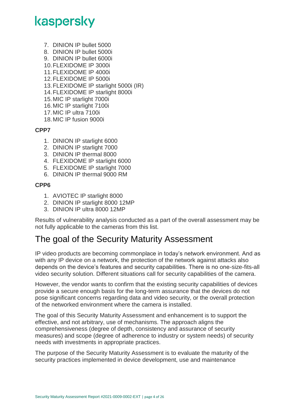- 7. DINION IP bullet 5000
- 8. DINION IP bullet 5000i
- 9. DINION IP bullet 6000i
- 10.FLEXIDOME IP 3000i
- 11.FLEXIDOME IP 4000i
- 12.FLEXIDOME IP 5000i
- 13.FLEXIDOME IP starlight 5000i (IR)
- 14.FLEXIDOME IP starlight 8000i
- 15.MIC IP starlight 7000i
- 16.MIC IP starlight 7100i
- 17.MIC IP ultra 7100i
- 18.MIC IP fusion 9000i

#### **CPP7**

- 1. DINION IP starlight 6000
- 2. DINION IP starlight 7000
- 3. DINION IP thermal 8000
- 4. FLEXIDOME IP starlight 6000
- 5. FLEXIDOME IP starlight 7000
- 6. DINION IP thermal 9000 RM

#### **CPP6**

- 1. AVIOTEC IP starlight 8000
- 2. DINION IP starlight 8000 12MP
- 3. DINION IP ultra 8000 12MP

Results of vulnerability analysis conducted as a part of the overall assessment may be not fully applicable to the cameras from this list.

#### <span id="page-3-0"></span>The goal of the Security Maturity Assessment

IP video products are becoming commonplace in today's network environment. And as with any IP device on a network, the protection of the network against attacks also depends on the device's features and security capabilities. There is no one-size-fits-all video security solution. Different situations call for security capabilities of the camera.

However, the vendor wants to confirm that the existing security capabilities of devices provide a secure enough basis for the long-term assurance that the devices do not pose significant concerns regarding data and video security, or the overall protection of the networked environment where the camera is installed.

The goal of this Security Maturity Assessment and enhancement is to support the effective, and not arbitrary, use of mechanisms. The approach aligns the comprehensiveness (degree of depth, consistency and assurance of security measures) and scope (degree of adherence to industry or system needs) of security needs with investments in appropriate practices.

The purpose of the Security Maturity Assessment is to evaluate the maturity of the security practices implemented in device development, use and maintenance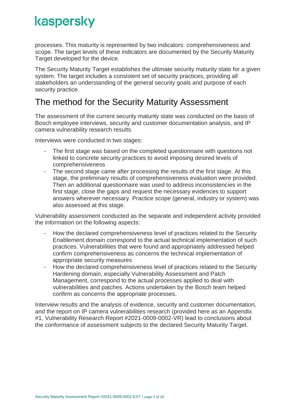processes. This maturity is represented by two indicators: comprehensiveness and scope. The target levels of these indicators are documented by the Security Maturity Target developed for the device.

The Security Maturity Target establishes the ultimate security maturity state for a given system. The target includes a consistent set of security practices, providing all stakeholders an understanding of the general security goals and purpose of each security practice.

#### <span id="page-4-0"></span>The method for the Security Maturity Assessment

The assessment of the current security maturity state was conducted on the basis of Bosch employee interviews, security and customer documentation analysis, and IP camera vulnerability research results.

Interviews were conducted in two stages:

- The first stage was based on the completed questionnaire with questions not linked to concrete security practices to avoid imposing desired levels of comprehensiveness
- The second stage came after processing the results of the first stage. At this stage, the preliminary results of comprehensiveness evaluation were provided. Then an additional questionnaire was used to address inconsistencies in the first stage, close the gaps and request the necessary evidences to support answers wherever necessary. Practice scope (general, industry or system) was also assessed at this stage.

Vulnerability assessment conducted as the separate and independent activity provided the information on the following aspects:

- How the declared comprehensiveness level of practices related to the Security Enablement domain correspond to the actual technical implementation of such practices. Vulnerabilities that were found and appropriately addressed helped confirm comprehensiveness as concerns the technical implementation of appropriate security measures
- How the declared comprehensiveness level of practices related to the Security Hardening domain, especially Vulnerability Assessment and Patch Management, correspond to the actual processes applied to deal with vulnerabilities and patches. Actions undertaken by the Bosch team helped confirm as concerns the appropriate processes.

Interview results and the analysis of evidence, security and customer documentation, and the report on IP camera vulnerabilities research (provided here as an Appendix #1, Vulnerability Research Report #2021-0009-0002-VR) lead to conclusions about the conformance of assessment subjects to the declared Security Maturity Target.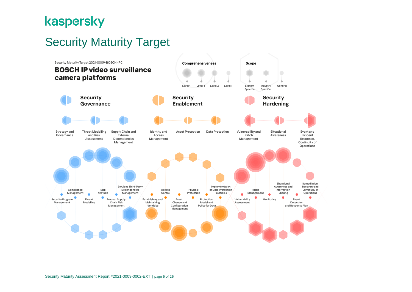### Security Maturity Target

<span id="page-5-0"></span>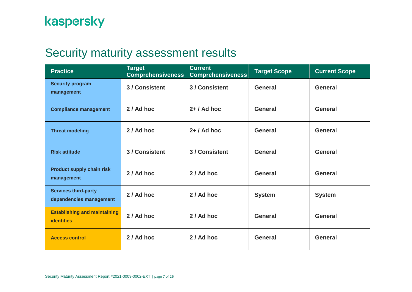### Security maturity assessment results

<span id="page-6-0"></span>

| <b>Practice</b>                                          | <b>Target</b><br><b>Comprehensiveness</b> | <b>Current</b><br><b>Comprehensiveness</b> | <b>Target Scope</b> | <b>Current Scope</b> |
|----------------------------------------------------------|-------------------------------------------|--------------------------------------------|---------------------|----------------------|
| <b>Security program</b><br>management                    | 3 / Consistent                            | 3 / Consistent                             | <b>General</b>      | <b>General</b>       |
| <b>Compliance management</b>                             | 2 / Ad hoc                                | $2+ / Ad$ hoc                              | <b>General</b>      | General              |
| <b>Threat modeling</b>                                   | 2 / Ad hoc                                | $2+ / Ad$ hoc                              | <b>General</b>      | <b>General</b>       |
| <b>Risk attitude</b>                                     | 3 / Consistent                            | 3 / Consistent                             | <b>General</b>      | <b>General</b>       |
| <b>Product supply chain risk</b><br>management           | 2 / Ad hoc                                | 2 / Ad hoc                                 | <b>General</b>      | <b>General</b>       |
| <b>Services third-party</b><br>dependencies management   | 2 / Ad hoc                                | 2 / Ad hoc                                 | <b>System</b>       | <b>System</b>        |
| <b>Establishing and maintaining</b><br><b>identities</b> | 2 / Ad hoc                                | 2 / Ad hoc                                 | <b>General</b>      | <b>General</b>       |
| <b>Access control</b>                                    | 2 / Ad hoc                                | 2 / Ad hoc                                 | <b>General</b>      | <b>General</b>       |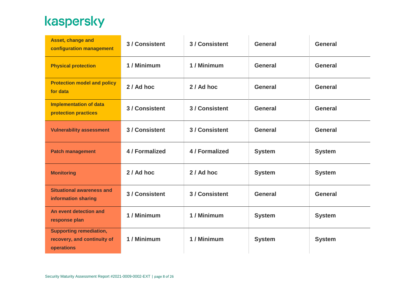| Asset, change and<br>configuration management                               | 3 / Consistent | 3 / Consistent | <b>General</b> | <b>General</b> |
|-----------------------------------------------------------------------------|----------------|----------------|----------------|----------------|
| <b>Physical protection</b>                                                  | 1 / Minimum    | 1/Minimum      | <b>General</b> | <b>General</b> |
| <b>Protection model and policy</b><br>for data                              | 2 / Ad hoc     | 2 / Ad hoc     | <b>General</b> | <b>General</b> |
| <b>Implementation of data</b><br>protection practices                       | 3 / Consistent | 3 / Consistent | <b>General</b> | <b>General</b> |
| <b>Vulnerability assessment</b>                                             | 3 / Consistent | 3 / Consistent | <b>General</b> | <b>General</b> |
| <b>Patch management</b>                                                     | 4 / Formalized | 4 / Formalized | <b>System</b>  | <b>System</b>  |
| <b>Monitoring</b>                                                           | 2 / Ad hoc     | 2 / Ad hoc     | <b>System</b>  | <b>System</b>  |
| <b>Situational awareness and</b><br>information sharing                     | 3 / Consistent | 3 / Consistent | <b>General</b> | <b>General</b> |
| An event detection and<br>response plan                                     | 1 / Minimum    | 1/Minimum      | <b>System</b>  | <b>System</b>  |
| <b>Supporting remediation,</b><br>recovery, and continuity of<br>operations | 1 / Minimum    | 1/Minimum      | <b>System</b>  | <b>System</b>  |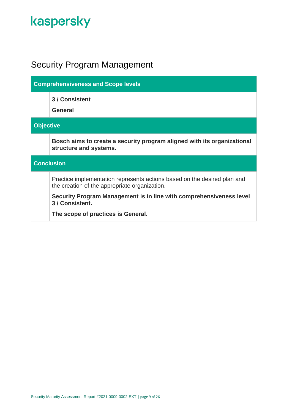### <span id="page-8-0"></span>Security Program Management

| <b>Comprehensiveness and Scope levels</b> |                                                                                                                           |  |  |
|-------------------------------------------|---------------------------------------------------------------------------------------------------------------------------|--|--|
|                                           | 3 / Consistent<br>General                                                                                                 |  |  |
|                                           | <b>Objective</b>                                                                                                          |  |  |
|                                           | Bosch aims to create a security program aligned with its organizational<br>structure and systems.                         |  |  |
| <b>Conclusion</b>                         |                                                                                                                           |  |  |
|                                           | Practice implementation represents actions based on the desired plan and<br>the creation of the appropriate organization. |  |  |
|                                           | Security Program Management is in line with comprehensiveness level<br>3 / Consistent.                                    |  |  |
|                                           | The scope of practices is General.                                                                                        |  |  |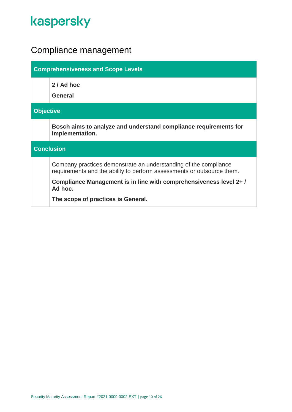### <span id="page-9-0"></span>Compliance management

| <b>Comprehensiveness and Scope Levels</b> |                                                                                                                                            |  |  |
|-------------------------------------------|--------------------------------------------------------------------------------------------------------------------------------------------|--|--|
|                                           | 2 / Ad hoc<br><b>General</b>                                                                                                               |  |  |
|                                           | <b>Objective</b>                                                                                                                           |  |  |
|                                           | Bosch aims to analyze and understand compliance requirements for<br>implementation.                                                        |  |  |
|                                           | <b>Conclusion</b>                                                                                                                          |  |  |
|                                           | Company practices demonstrate an understanding of the compliance<br>requirements and the ability to perform assessments or outsource them. |  |  |
|                                           | Compliance Management is in line with comprehensiveness level 2+/<br>Ad hoc.                                                               |  |  |
|                                           | The scope of practices is General.                                                                                                         |  |  |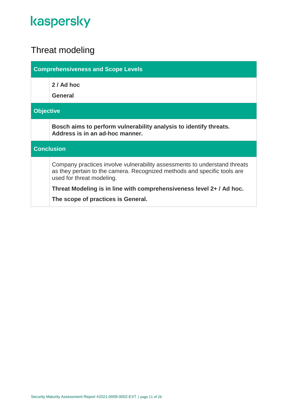### <span id="page-10-0"></span>Threat modeling

| <b>Comprehensiveness and Scope Levels</b> |                                                                                                                                                                                    |  |  |
|-------------------------------------------|------------------------------------------------------------------------------------------------------------------------------------------------------------------------------------|--|--|
|                                           | 2 / Ad hoc<br>General                                                                                                                                                              |  |  |
|                                           | <b>Objective</b>                                                                                                                                                                   |  |  |
|                                           | Bosch aims to perform vulnerability analysis to identify threats.<br>Address is in an ad-hoc manner.                                                                               |  |  |
| <b>Conclusion</b>                         |                                                                                                                                                                                    |  |  |
|                                           | Company practices involve vulnerability assessments to understand threats<br>as they pertain to the camera. Recognized methods and specific tools are<br>used for threat modeling. |  |  |
|                                           | Threat Modeling is in line with comprehensiveness level 2+ / Ad hoc.                                                                                                               |  |  |
|                                           | The scope of practices is General.                                                                                                                                                 |  |  |
|                                           |                                                                                                                                                                                    |  |  |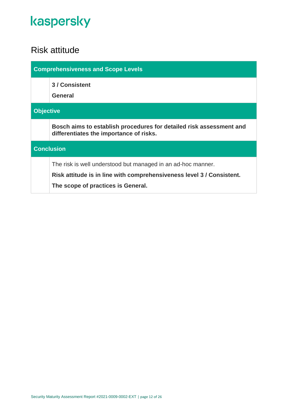#### <span id="page-11-0"></span>Risk attitude

| <b>Comprehensiveness and Scope Levels</b> |                                                                                                                |  |
|-------------------------------------------|----------------------------------------------------------------------------------------------------------------|--|
|                                           | 3 / Consistent<br><b>General</b>                                                                               |  |
|                                           |                                                                                                                |  |
| <b>Objective</b>                          |                                                                                                                |  |
|                                           | Bosch aims to establish procedures for detailed risk assessment and<br>differentiates the importance of risks. |  |
| <b>Conclusion</b>                         |                                                                                                                |  |
|                                           | The risk is well understood but managed in an ad-hoc manner.                                                   |  |
|                                           | Risk attitude is in line with comprehensiveness level 3 / Consistent.                                          |  |
|                                           | The scope of practices is General.                                                                             |  |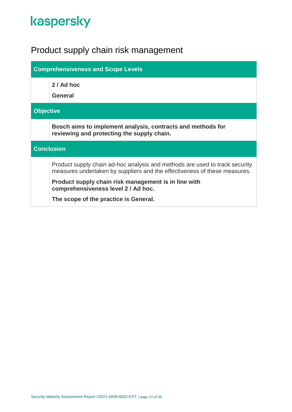### <span id="page-12-0"></span>Product supply chain risk management

| <b>Comprehensiveness and Scope Levels</b> |                                                                                                                                                          |  |  |
|-------------------------------------------|----------------------------------------------------------------------------------------------------------------------------------------------------------|--|--|
|                                           | 2 / Ad hoc<br><b>General</b>                                                                                                                             |  |  |
|                                           | <b>Objective</b>                                                                                                                                         |  |  |
|                                           | Bosch aims to implement analysis, contracts and methods for<br>reviewing and protecting the supply chain.                                                |  |  |
| <b>Conclusion</b>                         |                                                                                                                                                          |  |  |
|                                           | Product supply chain ad-hoc analysis and methods are used to track security<br>measures undertaken by suppliers and the effectiveness of these measures. |  |  |
|                                           | Product supply chain risk management is in line with<br>comprehensiveness level 2 / Ad hoc.                                                              |  |  |
|                                           | The scope of the practice is General.                                                                                                                    |  |  |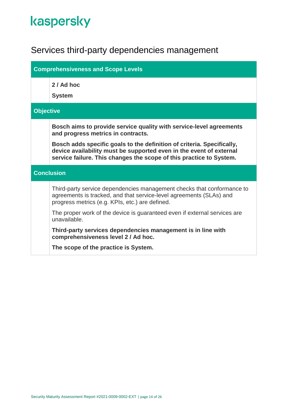### <span id="page-13-0"></span>Services third-party dependencies management

| <b>Comprehensiveness and Scope Levels</b> |                                                                                                                                                                                                                      |  |
|-------------------------------------------|----------------------------------------------------------------------------------------------------------------------------------------------------------------------------------------------------------------------|--|
|                                           | 2 / Ad hoc                                                                                                                                                                                                           |  |
|                                           | <b>System</b>                                                                                                                                                                                                        |  |
| <b>Objective</b>                          |                                                                                                                                                                                                                      |  |
|                                           | Bosch aims to provide service quality with service-level agreements<br>and progress metrics in contracts.                                                                                                            |  |
|                                           | Bosch adds specific goals to the definition of criteria. Specifically,<br>device availability must be supported even in the event of external<br>service failure. This changes the scope of this practice to System. |  |
|                                           | <b>Conclusion</b>                                                                                                                                                                                                    |  |
|                                           | Third-party service dependencies management checks that conformance to<br>agreements is tracked, and that service-level agreements (SLAs) and<br>progress metrics (e.g. KPIs, etc.) are defined.                     |  |
|                                           | The proper work of the device is guaranteed even if external services are<br>unavailable.                                                                                                                            |  |
|                                           | Third-party services dependencies management is in line with<br>comprehensiveness level 2 / Ad hoc.                                                                                                                  |  |
|                                           | The scope of the practice is System.                                                                                                                                                                                 |  |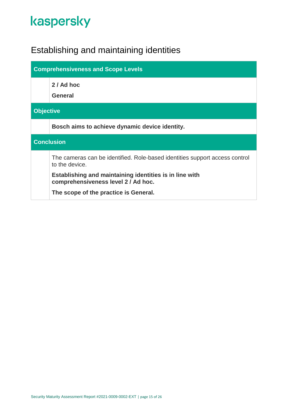### <span id="page-14-0"></span>Establishing and maintaining identities

| <b>Comprehensiveness and Scope Levels</b> |                                                                                                |  |  |
|-------------------------------------------|------------------------------------------------------------------------------------------------|--|--|
|                                           | 2 / Ad hoc<br><b>General</b>                                                                   |  |  |
|                                           | <b>Objective</b>                                                                               |  |  |
|                                           | Bosch aims to achieve dynamic device identity.                                                 |  |  |
| <b>Conclusion</b>                         |                                                                                                |  |  |
|                                           | The cameras can be identified. Role-based identities support access control<br>to the device.  |  |  |
|                                           | Establishing and maintaining identities is in line with<br>comprehensiveness level 2 / Ad hoc. |  |  |
|                                           | The scope of the practice is General.                                                          |  |  |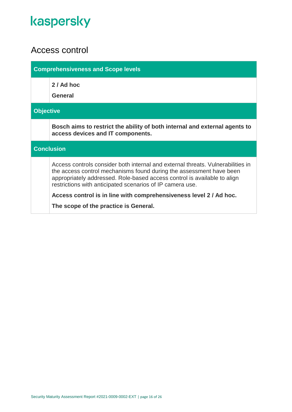#### <span id="page-15-0"></span>Access control

| <b>Comprehensiveness and Scope levels</b> |                                                                                                                                                                                                                                                                                                 |  |
|-------------------------------------------|-------------------------------------------------------------------------------------------------------------------------------------------------------------------------------------------------------------------------------------------------------------------------------------------------|--|
|                                           | 2 / Ad hoc<br><b>General</b>                                                                                                                                                                                                                                                                    |  |
| <b>Objective</b>                          |                                                                                                                                                                                                                                                                                                 |  |
|                                           | Bosch aims to restrict the ability of both internal and external agents to<br>access devices and IT components.                                                                                                                                                                                 |  |
|                                           | <b>Conclusion</b>                                                                                                                                                                                                                                                                               |  |
|                                           | Access controls consider both internal and external threats. Vulnerabilities in<br>the access control mechanisms found during the assessment have been<br>appropriately addressed. Role-based access control is available to align<br>restrictions with anticipated scenarios of IP camera use. |  |
|                                           | Access control is in line with comprehensiveness level 2 / Ad hoc.                                                                                                                                                                                                                              |  |
|                                           | The scope of the practice is General.                                                                                                                                                                                                                                                           |  |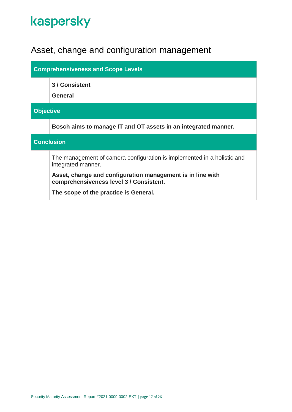### <span id="page-16-0"></span>Asset, change and configuration management

| <b>Comprehensiveness and Scope Levels</b> |                                                                                                       |  |  |
|-------------------------------------------|-------------------------------------------------------------------------------------------------------|--|--|
|                                           | 3 / Consistent<br>General                                                                             |  |  |
|                                           | <b>Objective</b>                                                                                      |  |  |
|                                           | Bosch aims to manage IT and OT assets in an integrated manner.                                        |  |  |
| <b>Conclusion</b>                         |                                                                                                       |  |  |
|                                           | The management of camera configuration is implemented in a holistic and<br>integrated manner.         |  |  |
|                                           | Asset, change and configuration management is in line with<br>comprehensiveness level 3 / Consistent. |  |  |
|                                           | The scope of the practice is General.                                                                 |  |  |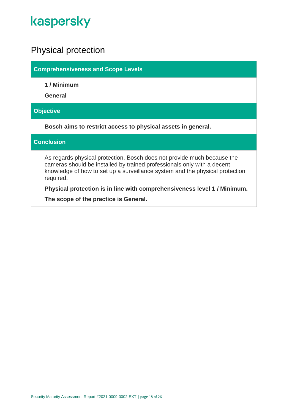#### <span id="page-17-0"></span>Physical protection

**Comprehensiveness and Scope Levels**

**1 / Minimum**

**General**

#### **Objective**

**Bosch aims to restrict access to physical assets in general.**

#### **Conclusion**

As regards physical protection, Bosch does not provide much because the cameras should be installed by trained professionals only with a decent knowledge of how to set up a surveillance system and the physical protection required.

**Physical protection is in line with comprehensiveness level 1 / Minimum.**

**The scope of the practice is General.**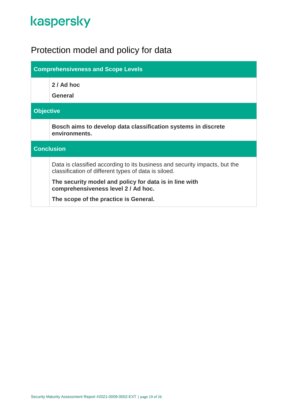### <span id="page-18-0"></span>Protection model and policy for data

| <b>Comprehensiveness and Scope Levels</b> |                                                                                                                                    |
|-------------------------------------------|------------------------------------------------------------------------------------------------------------------------------------|
|                                           | 2 / Ad hoc<br><b>General</b>                                                                                                       |
| <b>Objective</b>                          |                                                                                                                                    |
|                                           |                                                                                                                                    |
|                                           | Bosch aims to develop data classification systems in discrete<br>environments.                                                     |
| <b>Conclusion</b>                         |                                                                                                                                    |
|                                           | Data is classified according to its business and security impacts, but the<br>classification of different types of data is siloed. |
|                                           | The security model and policy for data is in line with<br>comprehensiveness level 2 / Ad hoc.                                      |
|                                           | The scope of the practice is General.                                                                                              |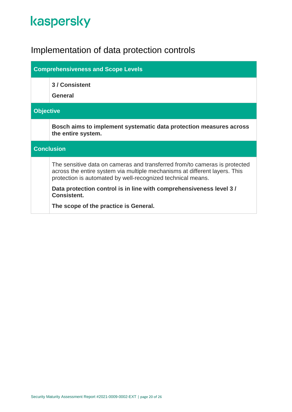### <span id="page-19-0"></span>Implementation of data protection controls

| <b>Comprehensiveness and Scope Levels</b> |                                                                                                                                                                                                                         |
|-------------------------------------------|-------------------------------------------------------------------------------------------------------------------------------------------------------------------------------------------------------------------------|
|                                           | 3 / Consistent<br><b>General</b>                                                                                                                                                                                        |
| <b>Objective</b>                          |                                                                                                                                                                                                                         |
|                                           | Bosch aims to implement systematic data protection measures across<br>the entire system.                                                                                                                                |
| <b>Conclusion</b>                         |                                                                                                                                                                                                                         |
|                                           | The sensitive data on cameras and transferred from/to cameras is protected<br>across the entire system via multiple mechanisms at different layers. This<br>protection is automated by well-recognized technical means. |
|                                           | Data protection control is in line with comprehensiveness level 3/<br><b>Consistent.</b>                                                                                                                                |
|                                           | The scope of the practice is General.                                                                                                                                                                                   |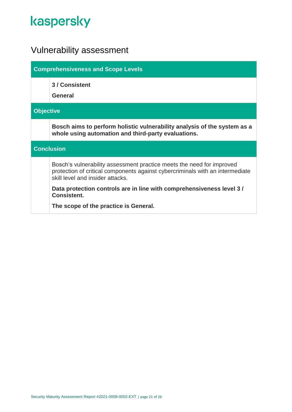### <span id="page-20-0"></span>Vulnerability assessment

| <b>Comprehensiveness and Scope Levels</b> |                                                                                                                                                                                            |  |
|-------------------------------------------|--------------------------------------------------------------------------------------------------------------------------------------------------------------------------------------------|--|
|                                           | 3 / Consistent<br>General                                                                                                                                                                  |  |
|                                           | <b>Objective</b>                                                                                                                                                                           |  |
|                                           | Bosch aims to perform holistic vulnerability analysis of the system as a<br>whole using automation and third-party evaluations.                                                            |  |
| <b>Conclusion</b>                         |                                                                                                                                                                                            |  |
|                                           | Bosch's vulnerability assessment practice meets the need for improved<br>protection of critical components against cybercriminals with an intermediate<br>skill level and insider attacks. |  |
|                                           | Data protection controls are in line with comprehensiveness level 3/<br><b>Consistent.</b>                                                                                                 |  |
|                                           | The scope of the practice is General.                                                                                                                                                      |  |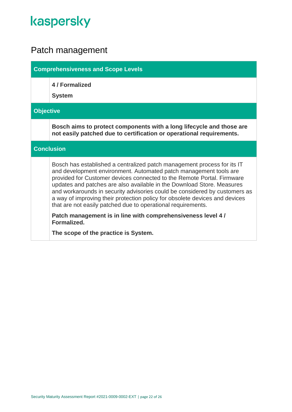### <span id="page-21-0"></span>Patch management

|                   | <b>Comprehensiveness and Scope Levels</b>                                                                                                                                                                                                                                                                                                                                                                                                                                                                                     |  |
|-------------------|-------------------------------------------------------------------------------------------------------------------------------------------------------------------------------------------------------------------------------------------------------------------------------------------------------------------------------------------------------------------------------------------------------------------------------------------------------------------------------------------------------------------------------|--|
|                   | 4 / Formalized<br><b>System</b>                                                                                                                                                                                                                                                                                                                                                                                                                                                                                               |  |
| <b>Objective</b>  |                                                                                                                                                                                                                                                                                                                                                                                                                                                                                                                               |  |
|                   | Bosch aims to protect components with a long lifecycle and those are<br>not easily patched due to certification or operational requirements.                                                                                                                                                                                                                                                                                                                                                                                  |  |
| <b>Conclusion</b> |                                                                                                                                                                                                                                                                                                                                                                                                                                                                                                                               |  |
|                   | Bosch has established a centralized patch management process for its IT<br>and development environment. Automated patch management tools are<br>provided for Customer devices connected to the Remote Portal. Firmware<br>updates and patches are also available in the Download Store. Measures<br>and workarounds in security advisories could be considered by customers as<br>a way of improving their protection policy for obsolete devices and devices<br>that are not easily patched due to operational requirements. |  |
|                   | Patch management is in line with comprehensiveness level 4/<br>Formalized.                                                                                                                                                                                                                                                                                                                                                                                                                                                    |  |
|                   | The scope of the practice is System.                                                                                                                                                                                                                                                                                                                                                                                                                                                                                          |  |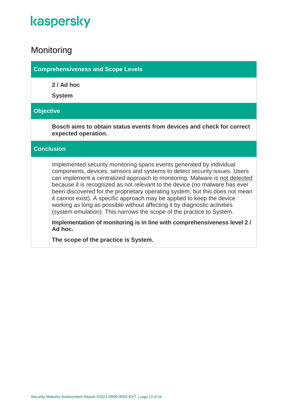### <span id="page-22-0"></span>Monitoring

|                   | <b>Comprehensiveness and Scope Levels</b> |                                                                                                                                                                                                                                                                                                                                                                                                                                                                                                                                                                                                                                  |
|-------------------|-------------------------------------------|----------------------------------------------------------------------------------------------------------------------------------------------------------------------------------------------------------------------------------------------------------------------------------------------------------------------------------------------------------------------------------------------------------------------------------------------------------------------------------------------------------------------------------------------------------------------------------------------------------------------------------|
|                   |                                           | 2 / Ad hoc<br><b>System</b>                                                                                                                                                                                                                                                                                                                                                                                                                                                                                                                                                                                                      |
|                   | <b>Objective</b>                          |                                                                                                                                                                                                                                                                                                                                                                                                                                                                                                                                                                                                                                  |
|                   |                                           | Bosch aims to obtain status events from devices and check for correct<br>expected operation.                                                                                                                                                                                                                                                                                                                                                                                                                                                                                                                                     |
| <b>Conclusion</b> |                                           |                                                                                                                                                                                                                                                                                                                                                                                                                                                                                                                                                                                                                                  |
|                   |                                           | Implemented security monitoring spans events generated by individual<br>components, devices, sensors and systems to detect security issues. Users<br>can implement a centralized approach to monitoring. Malware is not detected<br>because it is recognized as not relevant to the device (no malware has ever<br>been discovered for the proprietary operating system, but this does not mean<br>it cannot exist). A specific approach may be applied to keep the device<br>working as long as possible without affecting it by diagnostic activities<br>(system emulation). This narrows the scope of the practice to System. |
|                   |                                           | Implementation of monitoring is in line with comprehensiveness level 2/<br>Ad hoc.                                                                                                                                                                                                                                                                                                                                                                                                                                                                                                                                               |
|                   |                                           | The scope of the practice is System.                                                                                                                                                                                                                                                                                                                                                                                                                                                                                                                                                                                             |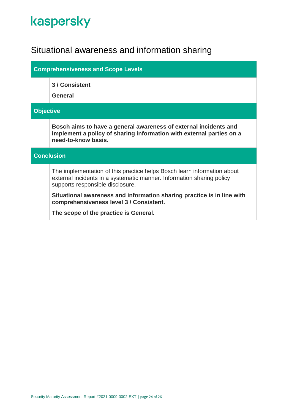### <span id="page-23-0"></span>Situational awareness and information sharing

| <b>Comprehensiveness and Scope Levels</b> |                                                                                                                                                                                      |  |
|-------------------------------------------|--------------------------------------------------------------------------------------------------------------------------------------------------------------------------------------|--|
|                                           | 3 / Consistent<br>General                                                                                                                                                            |  |
|                                           | <b>Objective</b>                                                                                                                                                                     |  |
|                                           | Bosch aims to have a general awareness of external incidents and<br>implement a policy of sharing information with external parties on a<br>need-to-know basis.                      |  |
| <b>Conclusion</b>                         |                                                                                                                                                                                      |  |
|                                           | The implementation of this practice helps Bosch learn information about<br>external incidents in a systematic manner. Information sharing policy<br>supports responsible disclosure. |  |
|                                           | Situational awareness and information sharing practice is in line with<br>comprehensiveness level 3 / Consistent.                                                                    |  |
|                                           | The scope of the practice is General.                                                                                                                                                |  |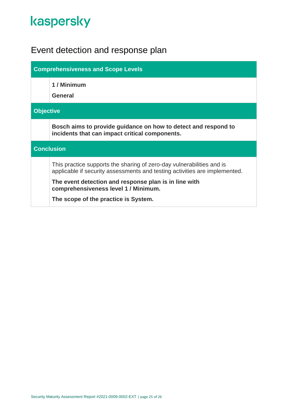### <span id="page-24-0"></span>Event detection and response plan

| <b>Comprehensiveness and Scope Levels</b> |                                                                                                                                                     |  |
|-------------------------------------------|-----------------------------------------------------------------------------------------------------------------------------------------------------|--|
|                                           | 1 / Minimum<br><b>General</b>                                                                                                                       |  |
|                                           | <b>Objective</b>                                                                                                                                    |  |
|                                           | Bosch aims to provide guidance on how to detect and respond to<br>incidents that can impact critical components.                                    |  |
| <b>Conclusion</b>                         |                                                                                                                                                     |  |
|                                           | This practice supports the sharing of zero-day vulnerabilities and is<br>applicable if security assessments and testing activities are implemented. |  |
|                                           | The event detection and response plan is in line with<br>comprehensiveness level 1 / Minimum.                                                       |  |
|                                           | The scope of the practice is System.                                                                                                                |  |